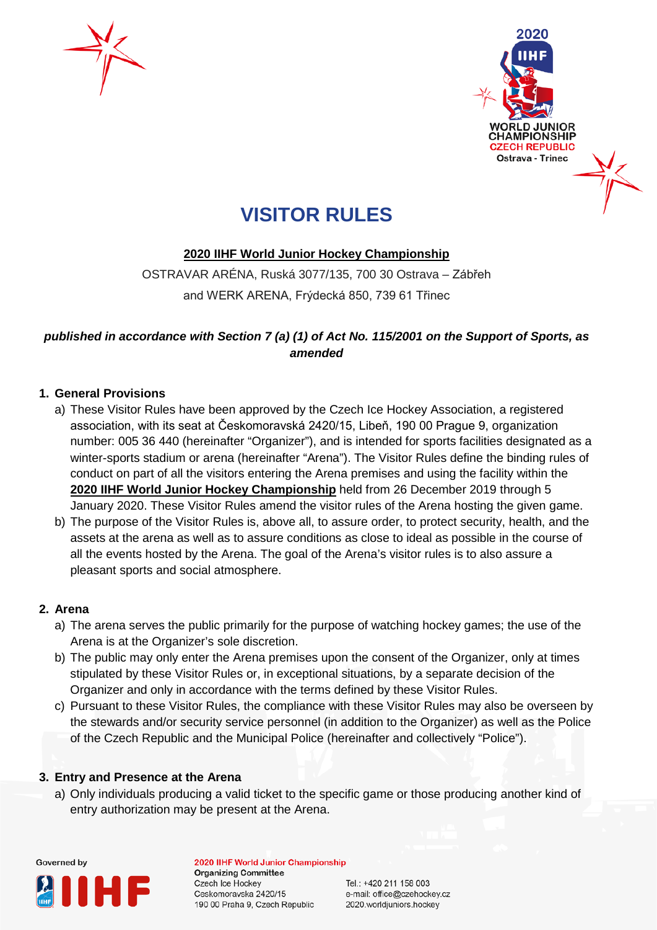



# **VISITOR RULES**

## **2020 IIHF World Junior Hockey Championship**

OSTRAVAR ARÉNA, Ruská 3077/135, 700 30 Ostrava – Zábřeh and WERK ARENA, Frýdecká 850, 739 61 Třinec

## *published in accordance with Section 7 (a) (1) of Act No. 115/2001 on the Support of Sports, as amended*

## **1. General Provisions**

- a) These Visitor Rules have been approved by the Czech Ice Hockey Association, a registered association, with its seat at Českomoravská 2420/15, Libeň, 190 00 Prague 9, organization number: 005 36 440 (hereinafter "Organizer"), and is intended for sports facilities designated as a winter-sports stadium or arena (hereinafter "Arena"). The Visitor Rules define the binding rules of conduct on part of all the visitors entering the Arena premises and using the facility within the **2020 IIHF World Junior Hockey Championship** held from 26 December 2019 through 5 January 2020. These Visitor Rules amend the visitor rules of the Arena hosting the given game.
- b) The purpose of the Visitor Rules is, above all, to assure order, to protect security, health, and the assets at the arena as well as to assure conditions as close to ideal as possible in the course of all the events hosted by the Arena. The goal of the Arena's visitor rules is to also assure a pleasant sports and social atmosphere.

## **2. Arena**

- a) The arena serves the public primarily for the purpose of watching hockey games; the use of the Arena is at the Organizer's sole discretion.
- b) The public may only enter the Arena premises upon the consent of the Organizer, only at times stipulated by these Visitor Rules or, in exceptional situations, by a separate decision of the Organizer and only in accordance with the terms defined by these Visitor Rules.
- c) Pursuant to these Visitor Rules, the compliance with these Visitor Rules may also be overseen by the stewards and/or security service personnel (in addition to the Organizer) as well as the Police of the Czech Republic and the Municipal Police (hereinafter and collectively "Police").

## **3. Entry and Presence at the Arena**

a) Only individuals producing a valid ticket to the specific game or those producing another kind of entry authorization may be present at the Arena.



2020 IIHF World Junior Championship **Organizing Committee Czech Ice Hockey** Ceskomoravska 2420/15 190 00 Praha 9, Czech Republic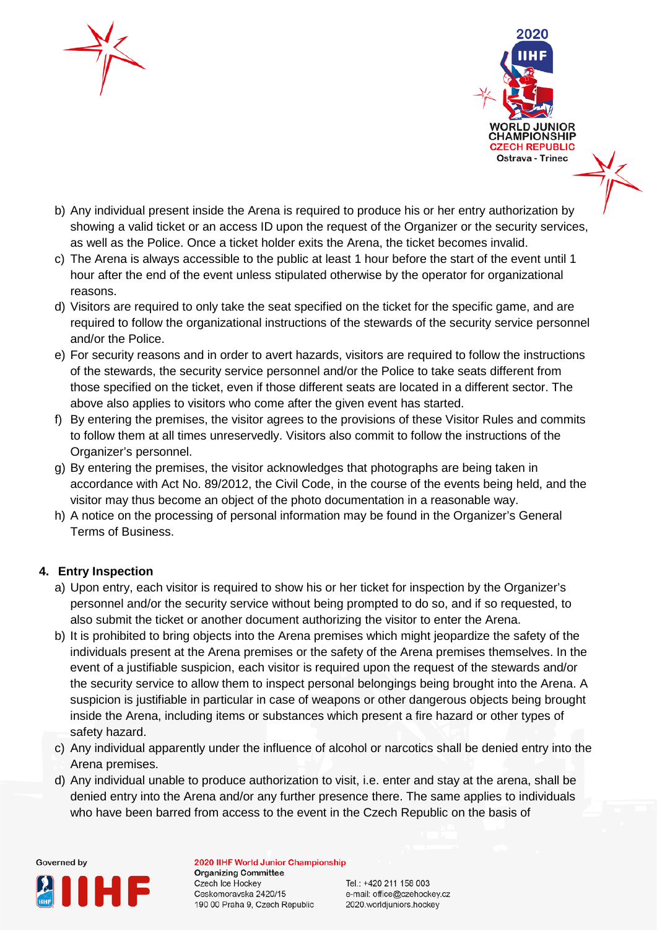



- b) Any individual present inside the Arena is required to produce his or her entry authorization by showing a valid ticket or an access ID upon the request of the Organizer or the security services, as well as the Police. Once a ticket holder exits the Arena, the ticket becomes invalid.
- c) The Arena is always accessible to the public at least 1 hour before the start of the event until 1 hour after the end of the event unless stipulated otherwise by the operator for organizational reasons.
- d) Visitors are required to only take the seat specified on the ticket for the specific game, and are required to follow the organizational instructions of the stewards of the security service personnel and/or the Police.
- e) For security reasons and in order to avert hazards, visitors are required to follow the instructions of the stewards, the security service personnel and/or the Police to take seats different from those specified on the ticket, even if those different seats are located in a different sector. The above also applies to visitors who come after the given event has started.
- f) By entering the premises, the visitor agrees to the provisions of these Visitor Rules and commits to follow them at all times unreservedly. Visitors also commit to follow the instructions of the Organizer's personnel.
- g) By entering the premises, the visitor acknowledges that photographs are being taken in accordance with Act No. 89/2012, the Civil Code, in the course of the events being held, and the visitor may thus become an object of the photo documentation in a reasonable way.
- h) A notice on the processing of personal information may be found in the Organizer's General Terms of Business.

## **4. Entry Inspection**

- a) Upon entry, each visitor is required to show his or her ticket for inspection by the Organizer's personnel and/or the security service without being prompted to do so, and if so requested, to also submit the ticket or another document authorizing the visitor to enter the Arena.
- b) It is prohibited to bring objects into the Arena premises which might jeopardize the safety of the individuals present at the Arena premises or the safety of the Arena premises themselves. In the event of a justifiable suspicion, each visitor is required upon the request of the stewards and/or the security service to allow them to inspect personal belongings being brought into the Arena. A suspicion is justifiable in particular in case of weapons or other dangerous objects being brought inside the Arena, including items or substances which present a fire hazard or other types of safety hazard.
- c) Any individual apparently under the influence of alcohol or narcotics shall be denied entry into the Arena premises.
- d) Any individual unable to produce authorization to visit, i.e. enter and stay at the arena, shall be denied entry into the Arena and/or any further presence there. The same applies to individuals who have been barred from access to the event in the Czech Republic on the basis of



2020 IIHF World Junior Championship **Organizing Committee** Czech Ice Hockey Ceskomoravska 2420/15 190 00 Praha 9, Czech Republic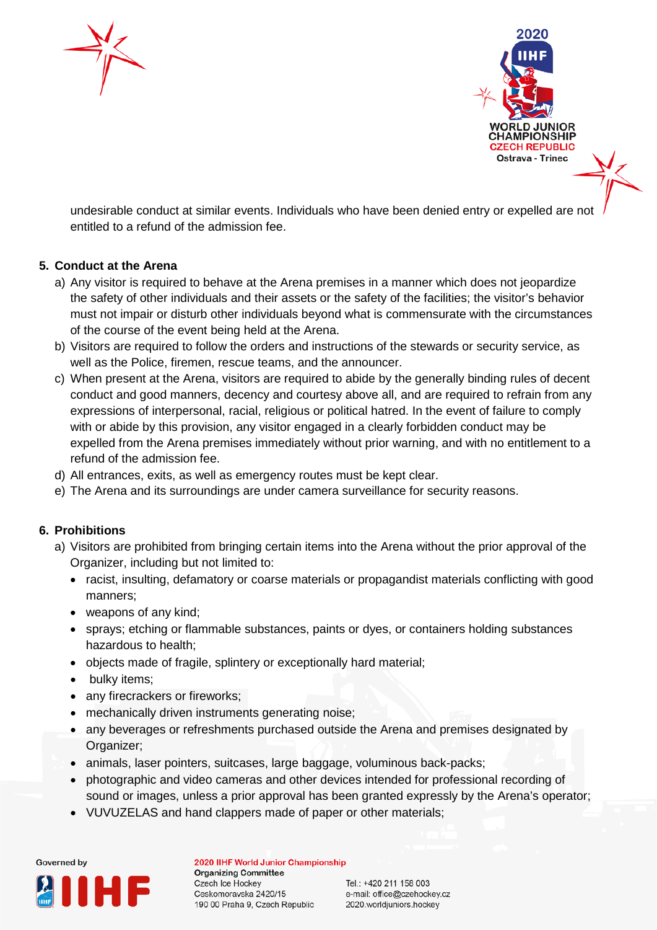



undesirable conduct at similar events. Individuals who have been denied entry or expelled are not entitled to a refund of the admission fee.

## **5. Conduct at the Arena**

- a) Any visitor is required to behave at the Arena premises in a manner which does not jeopardize the safety of other individuals and their assets or the safety of the facilities; the visitor's behavior must not impair or disturb other individuals beyond what is commensurate with the circumstances of the course of the event being held at the Arena.
- b) Visitors are required to follow the orders and instructions of the stewards or security service, as well as the Police, firemen, rescue teams, and the announcer.
- c) When present at the Arena, visitors are required to abide by the generally binding rules of decent conduct and good manners, decency and courtesy above all, and are required to refrain from any expressions of interpersonal, racial, religious or political hatred. In the event of failure to comply with or abide by this provision, any visitor engaged in a clearly forbidden conduct may be expelled from the Arena premises immediately without prior warning, and with no entitlement to a refund of the admission fee.
- d) All entrances, exits, as well as emergency routes must be kept clear.
- e) The Arena and its surroundings are under camera surveillance for security reasons.

## **6. Prohibitions**

- a) Visitors are prohibited from bringing certain items into the Arena without the prior approval of the Organizer, including but not limited to:
	- racist, insulting, defamatory or coarse materials or propagandist materials conflicting with good manners;
	- weapons of any kind;
	- sprays; etching or flammable substances, paints or dyes, or containers holding substances hazardous to health;
	- objects made of fragile, splintery or exceptionally hard material;
	- bulky items;
	- any firecrackers or fireworks;
	- mechanically driven instruments generating noise;
	- any beverages or refreshments purchased outside the Arena and premises designated by Organizer;
	- animals, laser pointers, suitcases, large baggage, voluminous back-packs;
	- photographic and video cameras and other devices intended for professional recording of sound or images, unless a prior approval has been granted expressly by the Arena's operator;
	- VUVUZELAS and hand clappers made of paper or other materials;



2020 IIHF World Junior Championship **Organizing Committee** Czech Ice Hockey Ceskomoravska 2420/15 190 00 Praha 9, Czech Republic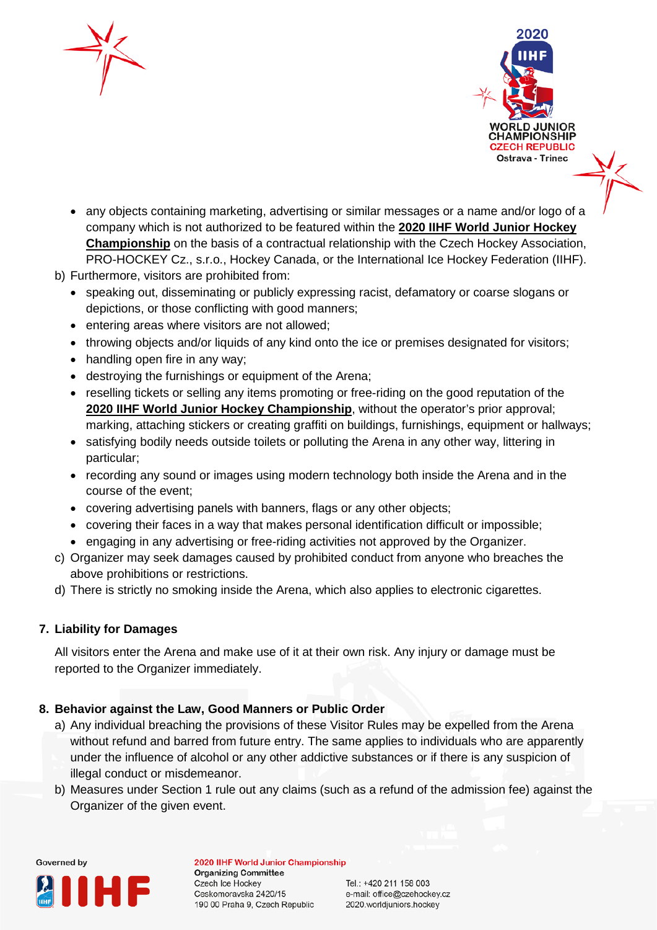



- any objects containing marketing, advertising or similar messages or a name and/or logo of a company which is not authorized to be featured within the **2020 IIHF World Junior Hockey Championship** on the basis of a contractual relationship with the Czech Hockey Association, PRO-HOCKEY Cz., s.r.o., Hockey Canada, or the International Ice Hockey Federation (IIHF).
- b) Furthermore, visitors are prohibited from:
	- speaking out, disseminating or publicly expressing racist, defamatory or coarse slogans or depictions, or those conflicting with good manners;
	- entering areas where visitors are not allowed;
	- throwing objects and/or liquids of any kind onto the ice or premises designated for visitors;
	- handling open fire in any way;
	- destroying the furnishings or equipment of the Arena;
	- reselling tickets or selling any items promoting or free-riding on the good reputation of the **2020 IIHF World Junior Hockey Championship**, without the operator's prior approval; marking, attaching stickers or creating graffiti on buildings, furnishings, equipment or hallways;
	- satisfying bodily needs outside toilets or polluting the Arena in any other way, littering in particular;
	- recording any sound or images using modern technology both inside the Arena and in the course of the event;
	- covering advertising panels with banners, flags or any other objects;
	- covering their faces in a way that makes personal identification difficult or impossible;
	- engaging in any advertising or free-riding activities not approved by the Organizer.
- c) Organizer may seek damages caused by prohibited conduct from anyone who breaches the above prohibitions or restrictions.
- d) There is strictly no smoking inside the Arena, which also applies to electronic cigarettes.

## **7. Liability for Damages**

All visitors enter the Arena and make use of it at their own risk. Any injury or damage must be reported to the Organizer immediately.

## **8. Behavior against the Law, Good Manners or Public Order**

- a) Any individual breaching the provisions of these Visitor Rules may be expelled from the Arena without refund and barred from future entry. The same applies to individuals who are apparently under the influence of alcohol or any other addictive substances or if there is any suspicion of illegal conduct or misdemeanor.
- b) Measures under Section 1 rule out any claims (such as a refund of the admission fee) against the Organizer of the given event.



2020 IIHF World Junior Championship **Organizing Committee** Czech Ice Hockey Ceskomoravska 2420/15 190 00 Praha 9, Czech Republic